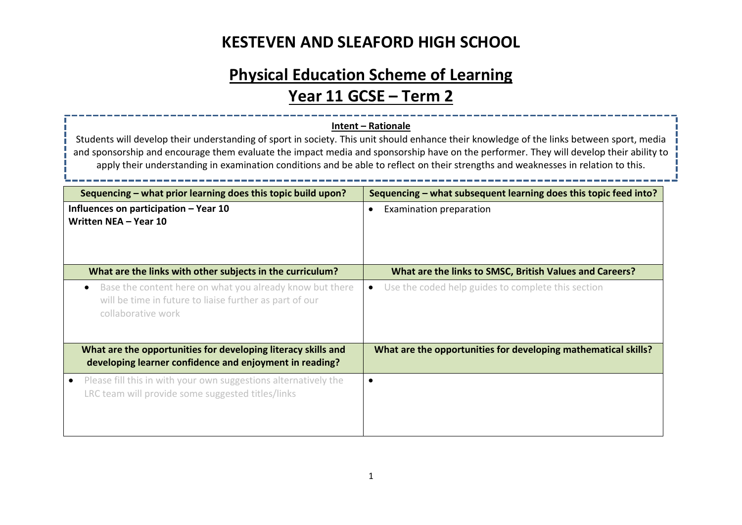# **Physical Education Scheme of Learning**

# **Year 11 GCSE – Term 2**

#### **Intent – Rationale**

Students will develop their understanding of sport in society. This unit should enhance their knowledge of the links between sport, media and sponsorship and encourage them evaluate the impact media and sponsorship have on the performer. They will develop their ability to apply their understanding in examination conditions and be able to reflect on their strengths and weaknesses in relation to this.

| Sequencing – what prior learning does this topic build upon?                                                                                           | Sequencing – what subsequent learning does this topic feed into? |
|--------------------------------------------------------------------------------------------------------------------------------------------------------|------------------------------------------------------------------|
| Influences on participation – Year 10<br>Written NEA - Year 10                                                                                         | Examination preparation<br>$\bullet$                             |
| What are the links with other subjects in the curriculum?                                                                                              | What are the links to SMSC, British Values and Careers?          |
| Base the content here on what you already know but there<br>$\bullet$<br>will be time in future to liaise further as part of our<br>collaborative work | Use the coded help guides to complete this section<br>$\bullet$  |
| What are the opportunities for developing literacy skills and<br>developing learner confidence and enjoyment in reading?                               | What are the opportunities for developing mathematical skills?   |
| Please fill this in with your own suggestions alternatively the<br>LRC team will provide some suggested titles/links                                   | $\bullet$                                                        |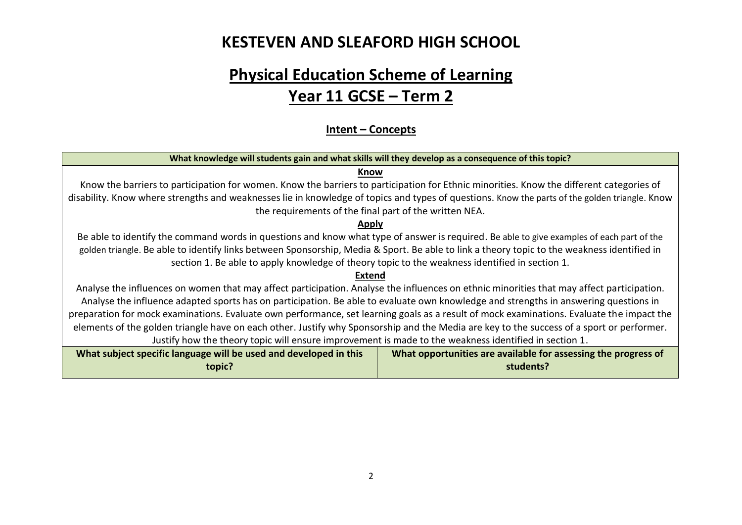# **Physical Education Scheme of Learning Year 11 GCSE – Term 2**

#### **Intent – Concepts**

| What knowledge will students gain and what skills will they develop as a consequence of this topic?                                            |                                                                |  |  |  |
|------------------------------------------------------------------------------------------------------------------------------------------------|----------------------------------------------------------------|--|--|--|
| Know                                                                                                                                           |                                                                |  |  |  |
| Know the barriers to participation for women. Know the barriers to participation for Ethnic minorities. Know the different categories of       |                                                                |  |  |  |
| disability. Know where strengths and weaknesses lie in knowledge of topics and types of questions. Know the parts of the golden triangle. Know |                                                                |  |  |  |
| the requirements of the final part of the written NEA.                                                                                         |                                                                |  |  |  |
| <b>Apply</b>                                                                                                                                   |                                                                |  |  |  |
| Be able to identify the command words in questions and know what type of answer is required. Be able to give examples of each part of the      |                                                                |  |  |  |
| golden triangle. Be able to identify links between Sponsorship, Media & Sport. Be able to link a theory topic to the weakness identified in    |                                                                |  |  |  |
| section 1. Be able to apply knowledge of theory topic to the weakness identified in section 1.                                                 |                                                                |  |  |  |
| <b>Extend</b>                                                                                                                                  |                                                                |  |  |  |
| Analyse the influences on women that may affect participation. Analyse the influences on ethnic minorities that may affect participation.      |                                                                |  |  |  |
| Analyse the influence adapted sports has on participation. Be able to evaluate own knowledge and strengths in answering questions in           |                                                                |  |  |  |
| preparation for mock examinations. Evaluate own performance, set learning goals as a result of mock examinations. Evaluate the impact the      |                                                                |  |  |  |
| elements of the golden triangle have on each other. Justify why Sponsorship and the Media are key to the success of a sport or performer.      |                                                                |  |  |  |
| Justify how the theory topic will ensure improvement is made to the weakness identified in section 1.                                          |                                                                |  |  |  |
| What subject specific language will be used and developed in this                                                                              | What opportunities are available for assessing the progress of |  |  |  |
| topic?                                                                                                                                         | students?                                                      |  |  |  |

2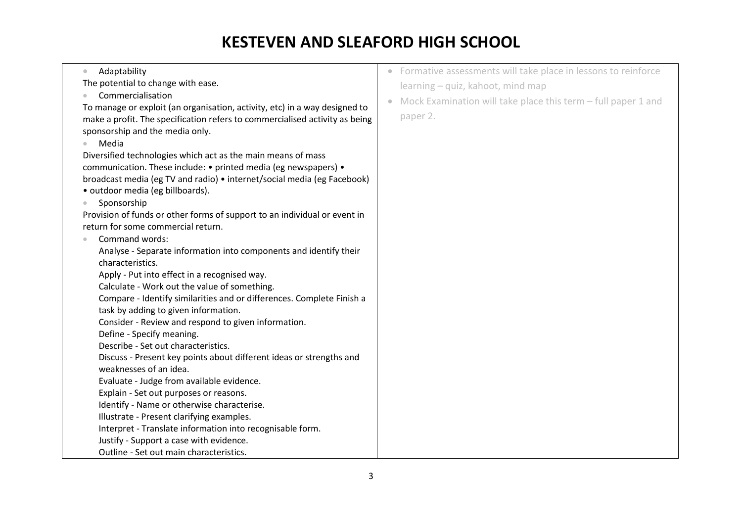| Adaptability<br>$\bullet$                                                   | • Formative assessments will take place in lessons to reinforce            |
|-----------------------------------------------------------------------------|----------------------------------------------------------------------------|
| The potential to change with ease.                                          |                                                                            |
| Commercialisation                                                           | learning - quiz, kahoot, mind map                                          |
| To manage or exploit (an organisation, activity, etc) in a way designed to  | Mock Examination will take place this term - full paper 1 and<br>$\bullet$ |
| make a profit. The specification refers to commercialised activity as being | paper 2.                                                                   |
| sponsorship and the media only.                                             |                                                                            |
| Media                                                                       |                                                                            |
| Diversified technologies which act as the main means of mass                |                                                                            |
| communication. These include: • printed media (eg newspapers) •             |                                                                            |
| broadcast media (eg TV and radio) • internet/social media (eg Facebook)     |                                                                            |
| · outdoor media (eg billboards).                                            |                                                                            |
| Sponsorship                                                                 |                                                                            |
| Provision of funds or other forms of support to an individual or event in   |                                                                            |
| return for some commercial return.                                          |                                                                            |
| Command words:                                                              |                                                                            |
| Analyse - Separate information into components and identify their           |                                                                            |
| characteristics.                                                            |                                                                            |
| Apply - Put into effect in a recognised way.                                |                                                                            |
| Calculate - Work out the value of something.                                |                                                                            |
| Compare - Identify similarities and or differences. Complete Finish a       |                                                                            |
| task by adding to given information.                                        |                                                                            |
| Consider - Review and respond to given information.                         |                                                                            |
| Define - Specify meaning.                                                   |                                                                            |
| Describe - Set out characteristics.                                         |                                                                            |
| Discuss - Present key points about different ideas or strengths and         |                                                                            |
| weaknesses of an idea.                                                      |                                                                            |
| Evaluate - Judge from available evidence.                                   |                                                                            |
| Explain - Set out purposes or reasons.                                      |                                                                            |
| Identify - Name or otherwise characterise.                                  |                                                                            |
| Illustrate - Present clarifying examples.                                   |                                                                            |
| Interpret - Translate information into recognisable form.                   |                                                                            |
| Justify - Support a case with evidence.                                     |                                                                            |
| Outline - Set out main characteristics.                                     |                                                                            |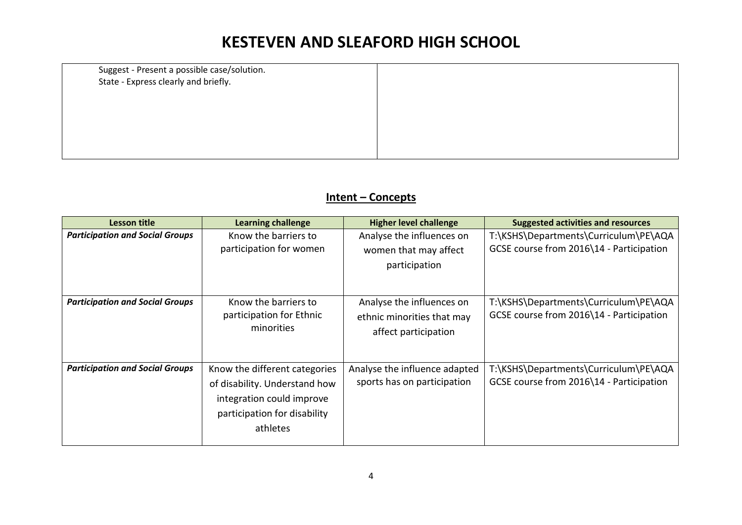Suggest - Present a possible case/solution. State - Express clearly and briefly.

#### **Intent – Concepts**

| <b>Lesson title</b>                    | <b>Learning challenge</b>                                                                                                               | <b>Higher level challenge</b>                                                   | <b>Suggested activities and resources</b>                                         |
|----------------------------------------|-----------------------------------------------------------------------------------------------------------------------------------------|---------------------------------------------------------------------------------|-----------------------------------------------------------------------------------|
| <b>Participation and Social Groups</b> | Know the barriers to<br>participation for women                                                                                         | Analyse the influences on<br>women that may affect<br>participation             | T:\KSHS\Departments\Curriculum\PE\AQA<br>GCSE course from 2016\14 - Participation |
| <b>Participation and Social Groups</b> | Know the barriers to<br>participation for Ethnic<br>minorities                                                                          | Analyse the influences on<br>ethnic minorities that may<br>affect participation | T:\KSHS\Departments\Curriculum\PE\AQA<br>GCSE course from 2016\14 - Participation |
| <b>Participation and Social Groups</b> | Know the different categories<br>of disability. Understand how<br>integration could improve<br>participation for disability<br>athletes | Analyse the influence adapted<br>sports has on participation                    | T:\KSHS\Departments\Curriculum\PE\AQA<br>GCSE course from 2016\14 - Participation |